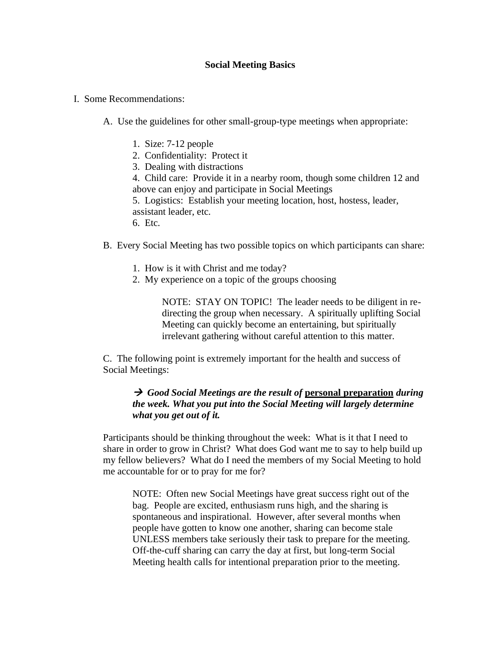## **Social Meeting Basics**

- I. Some Recommendations:
	- A. Use the guidelines for other small-group-type meetings when appropriate:
		- 1. Size: 7-12 people
		- 2. Confidentiality: Protect it
		- 3. Dealing with distractions

4. Child care: Provide it in a nearby room, though some children 12 and above can enjoy and participate in Social Meetings

5. Logistics: Establish your meeting location, host, hostess, leader, assistant leader, etc.

6. Etc.

B. Every Social Meeting has two possible topics on which participants can share:

- 1. How is it with Christ and me today?
- 2. My experience on a topic of the groups choosing

NOTE: STAY ON TOPIC! The leader needs to be diligent in redirecting the group when necessary. A spiritually uplifting Social Meeting can quickly become an entertaining, but spiritually irrelevant gathering without careful attention to this matter.

C. The following point is extremely important for the health and success of Social Meetings:

## → *Good Social Meetings are the result of* **personal preparation** *during the week. What you put into the Social Meeting will largely determine what you get out of it.*

Participants should be thinking throughout the week: What is it that I need to share in order to grow in Christ? What does God want me to say to help build up my fellow believers? What do I need the members of my Social Meeting to hold me accountable for or to pray for me for?

NOTE: Often new Social Meetings have great success right out of the bag. People are excited, enthusiasm runs high, and the sharing is spontaneous and inspirational. However, after several months when people have gotten to know one another, sharing can become stale UNLESS members take seriously their task to prepare for the meeting. Off-the-cuff sharing can carry the day at first, but long-term Social Meeting health calls for intentional preparation prior to the meeting.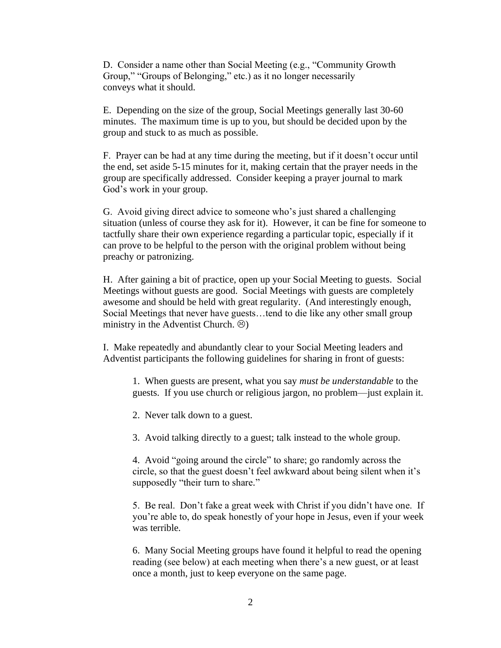D. Consider a name other than Social Meeting (e.g., "Community Growth Group," "Groups of Belonging," etc.) as it no longer necessarily conveys what it should.

E. Depending on the size of the group, Social Meetings generally last 30-60 minutes. The maximum time is up to you, but should be decided upon by the group and stuck to as much as possible.

F. Prayer can be had at any time during the meeting, but if it doesn't occur until the end, set aside 5-15 minutes for it, making certain that the prayer needs in the group are specifically addressed. Consider keeping a prayer journal to mark God's work in your group.

G. Avoid giving direct advice to someone who's just shared a challenging situation (unless of course they ask for it). However, it can be fine for someone to tactfully share their own experience regarding a particular topic, especially if it can prove to be helpful to the person with the original problem without being preachy or patronizing.

H. After gaining a bit of practice, open up your Social Meeting to guests. Social Meetings without guests are good. Social Meetings with guests are completely awesome and should be held with great regularity. (And interestingly enough, Social Meetings that never have guests…tend to die like any other small group ministry in the Adventist Church.  $\circledcirc$ )

I. Make repeatedly and abundantly clear to your Social Meeting leaders and Adventist participants the following guidelines for sharing in front of guests:

1. When guests are present, what you say *must be understandable* to the guests. If you use church or religious jargon, no problem—just explain it.

2. Never talk down to a guest.

3. Avoid talking directly to a guest; talk instead to the whole group.

4. Avoid "going around the circle" to share; go randomly across the circle, so that the guest doesn't feel awkward about being silent when it's supposedly "their turn to share."

5. Be real. Don't fake a great week with Christ if you didn't have one. If you're able to, do speak honestly of your hope in Jesus, even if your week was terrible.

6. Many Social Meeting groups have found it helpful to read the opening reading (see below) at each meeting when there's a new guest, or at least once a month, just to keep everyone on the same page.